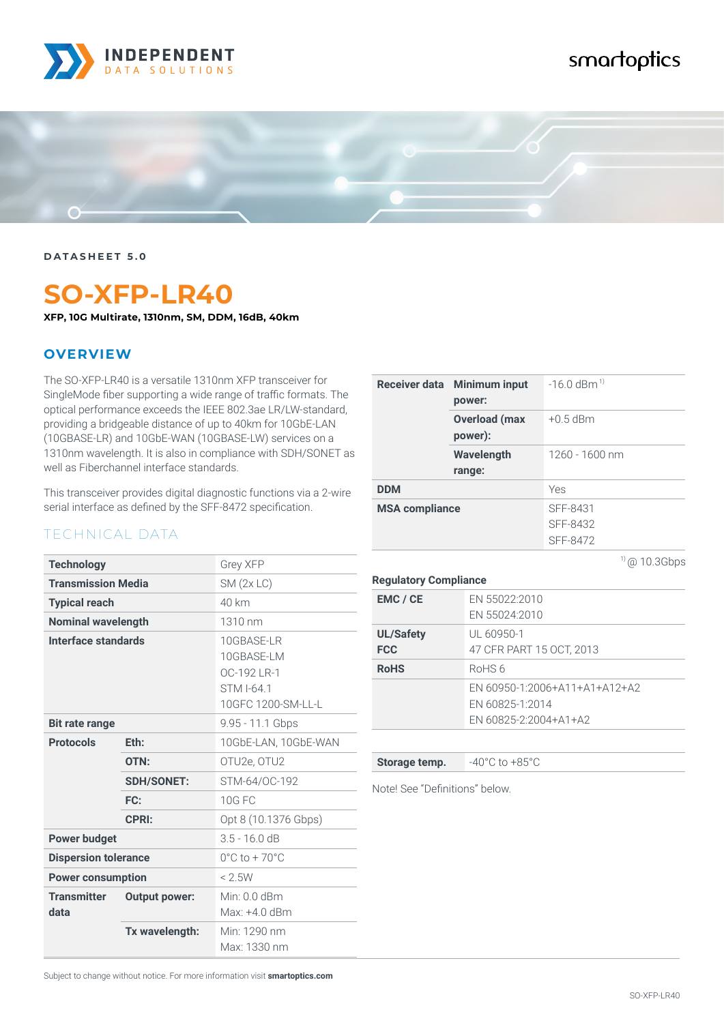

## smartoptics



**DATASHEET 5.0**

# **SO-XFP-LR40**

**XFP, 10G Multirate, 1310nm, SM, DDM, 16dB, 40km**

#### **OVERVIEW**

The SO-XFP-LR40 is a versatile 1310nm XFP transceiver for SingleMode fiber supporting a wide range of traffic formats. The optical performance exceeds the IEEE 802.3ae LR/LW-standard, providing a bridgeable distance of up to 40km for 10GbE-LAN (10GBASE-LR) and 10GbE-WAN (10GBASE-LW) services on a 1310nm wavelength. It is also in compliance with SDH/SONET as well as Fiberchannel interface standards.

This transceiver provides digital diagnostic functions via a 2-wire serial interface as defined by the SFF-8472 specification.

#### TECHNICAL DATA

| <b>Technology</b>           |                      | <b>Grey XFP</b>                                                             |
|-----------------------------|----------------------|-----------------------------------------------------------------------------|
| <b>Transmission Media</b>   |                      | SM(2x LC)                                                                   |
| <b>Typical reach</b>        |                      | 40 km                                                                       |
| <b>Nominal wavelength</b>   |                      | 1310 nm                                                                     |
| Interface standards         |                      | 10GBASE-LR<br>10GBASE-LM<br>OC-192 LR-1<br>STM I-64.1<br>10GFC 1200-SM-LL-L |
| <b>Bit rate range</b>       |                      | 9.95 - 11.1 Gbps                                                            |
| <b>Protocols</b>            | Eth:                 | 10GbE-LAN, 10GbE-WAN                                                        |
|                             | OTN:                 | OTU2e, OTU2                                                                 |
|                             | <b>SDH/SONET:</b>    | STM-64/0C-192                                                               |
|                             | FC:                  | <b>10G FC</b>                                                               |
|                             | <b>CPRI:</b>         | Opt 8 (10.1376 Gbps)                                                        |
| <b>Power budget</b>         |                      | $3.5 - 16.0 dB$                                                             |
| <b>Dispersion tolerance</b> |                      | $0^{\circ}$ C to + 70 $^{\circ}$ C                                          |
| <b>Power consumption</b>    |                      | < 2.5W                                                                      |
| <b>Transmitter</b><br>data  | <b>Output power:</b> | Min: 0.0 dBm<br>Max: +4.0 dBm                                               |
|                             | Tx wavelength:       | Min: 1290 nm<br>Max: 1330 nm                                                |

| Receiver data Minimum input<br>power: | $-16.0$ dBm <sup>1)</sup>        |
|---------------------------------------|----------------------------------|
| <b>Overload (max</b><br>power):       | $+0.5$ dBm                       |
| Wavelength<br>range:                  | 1260 - 1600 nm                   |
| <b>DDM</b>                            | Yes                              |
| <b>MSA compliance</b>                 | SFF-8431<br>SFF-8432<br>SFF-8472 |

**Regulatory Compliance**

| EMC / CE                       | EN 55022:2010<br>EN 55024:2010                                            |
|--------------------------------|---------------------------------------------------------------------------|
| <b>UL/Safety</b><br><b>FCC</b> | UL 60950-1<br>47 CFR PART 15 OCT, 2013                                    |
| <b>RoHS</b>                    | RoHS 6                                                                    |
|                                | EN 60950-1:2006+A11+A1+A12+A2<br>EN 60825-1:2014<br>EN 60825-2:2004+A1+A2 |

**Storage temp.**  $-40^{\circ}$ C to  $+85^{\circ}$ C

Note! See "Definitions" below.

Subject to change without notice. For more information visit **smartoptics.com**

 $1)$  @ 10.3Gbps